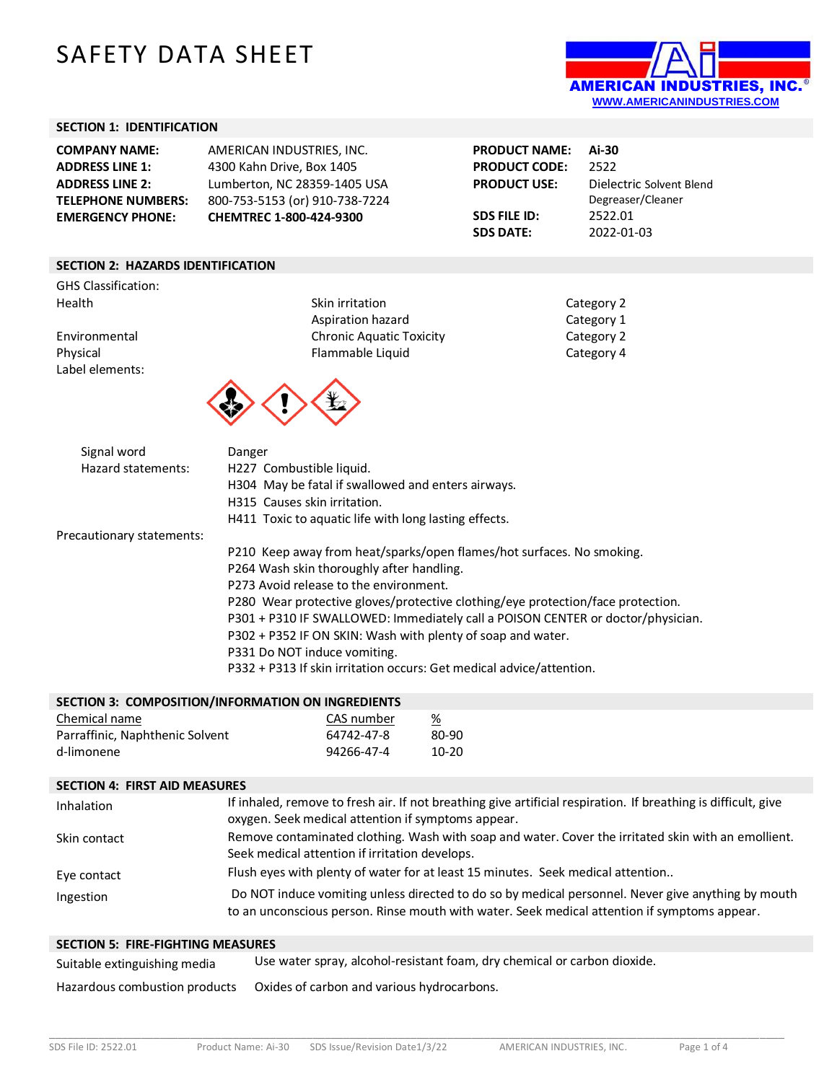# SAFETY DATA SHEET



## **SECTION 1: IDENTIFICATION**

| <b>COMPANY NAME:</b>      | AMERICAN INDUSTRIES, INC.      | <b>PRODUCT NAME:</b> | Ai-30                    |
|---------------------------|--------------------------------|----------------------|--------------------------|
| <b>ADDRESS LINE 1:</b>    | 4300 Kahn Drive, Box 1405      | <b>PRODUCT CODE:</b> | 2522                     |
| <b>ADDRESS LINE 2:</b>    | Lumberton, NC 28359-1405 USA   | <b>PRODUCT USE:</b>  | Dielectric Solvent Blend |
| <b>TELEPHONE NUMBERS:</b> | 800-753-5153 (or) 910-738-7224 |                      | Degreaser/Cleaner        |
| <b>EMERGENCY PHONE:</b>   | <b>CHEMTREC 1-800-424-9300</b> | SDS FILE ID:         | 2522.01                  |
|                           |                                | <b>SDS DATE:</b>     | 2022-01-03               |
|                           |                                |                      |                          |

#### **SECTION 2: HAZARDS IDENTIFICATION**

GHS Classification: Health Skin irritation Category 2011

Label elements:

Aspiration hazard Environmental Chronic Aquatic Toxicity Physical **Flammable Liquid** Flammable Liquid Category 4



| Category 2 |
|------------|
| Category 1 |
| Category 2 |
| Catagory 1 |

| Signal word               | Danger                                                                          |
|---------------------------|---------------------------------------------------------------------------------|
| Hazard statements:        | H227 Combustible liquid.                                                        |
|                           | H304 May be fatal if swallowed and enters airways.                              |
|                           | H315 Causes skin irritation.                                                    |
|                           | H411 Toxic to aquatic life with long lasting effects.                           |
| Precautionary statements: |                                                                                 |
|                           | P210 Keep away from heat/sparks/open flames/hot surfaces. No smoking.           |
|                           | P264 Wash skin thoroughly after handling.                                       |
|                           | P273 Avoid release to the environment.                                          |
|                           | P280 Wear protective gloves/protective clothing/eye protection/face protection. |
|                           | P301 + P310 IF SWALLOWED: Immediately call a POISON CENTER or doctor/physician. |
|                           | P302 + P352 IF ON SKIN: Wash with plenty of soap and water.                     |
|                           | P331 Do NOT induce vomiting.                                                    |
|                           | P332 + P313 If skin irritation occurs: Get medical advice/attention.            |

| <b>SECTION 3: COMPOSITION/INFORMATION ON INGREDIENTS</b> |            |                       |
|----------------------------------------------------------|------------|-----------------------|
| Chemical name                                            | CAS number | $\frac{\%}{\sqrt{2}}$ |
| Parraffinic, Naphthenic Solvent                          | 64742-47-8 | 80-90                 |

d-limonene 94266-47-4 10-20

#### **SECTION 4: FIRST AID MEASURES**

| Inhalation   | If inhaled, remove to fresh air. If not breathing give artificial respiration. If breathing is difficult, give<br>oxygen. Seek medical attention if symptoms appear.                               |
|--------------|----------------------------------------------------------------------------------------------------------------------------------------------------------------------------------------------------|
| Skin contact | Remove contaminated clothing. Wash with soap and water. Cover the irritated skin with an emollient.<br>Seek medical attention if irritation develops.                                              |
| Eye contact  | Flush eyes with plenty of water for at least 15 minutes. Seek medical attention                                                                                                                    |
| Ingestion    | Do NOT induce vomiting unless directed to do so by medical personnel. Never give anything by mouth<br>to an unconscious person. Rinse mouth with water. Seek medical attention if symptoms appear. |

#### **SECTION 5: FIRE-FIGHTING MEASURES**

| Suitable extinguishing media | Use water spray, alcohol-resistant foam, dry chemical or carbon dioxide. |
|------------------------------|--------------------------------------------------------------------------|
|------------------------------|--------------------------------------------------------------------------|

Hazardous combustion products Oxides of carbon and various hydrocarbons.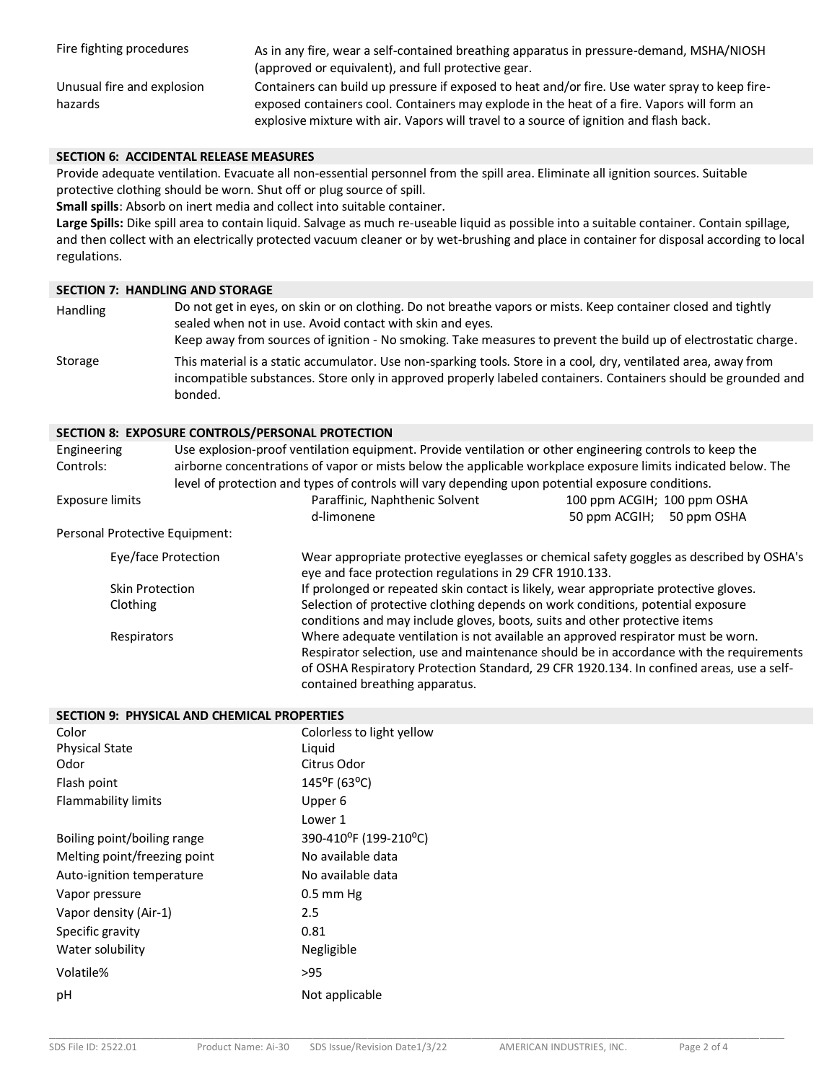| Fire fighting procedures              | As in any fire, wear a self-contained breathing apparatus in pressure-demand, MSHA/NIOSH<br>(approved or equivalent), and full protective gear.                                              |
|---------------------------------------|----------------------------------------------------------------------------------------------------------------------------------------------------------------------------------------------|
| Unusual fire and explosion<br>hazards | Containers can build up pressure if exposed to heat and/or fire. Use water spray to keep fire-<br>exposed containers cool. Containers may explode in the heat of a fire. Vapors will form an |
|                                       | explosive mixture with air. Vapors will travel to a source of ignition and flash back.                                                                                                       |

## **SECTION 6: ACCIDENTAL RELEASE MEASURES**

Provide adequate ventilation. Evacuate all non-essential personnel from the spill area. Eliminate all ignition sources. Suitable protective clothing should be worn. Shut off or plug source of spill.

**Small spills**: Absorb on inert media and collect into suitable container.

**Large Spills:** Dike spill area to contain liquid. Salvage as much re-useable liquid as possible into a suitable container. Contain spillage, and then collect with an electrically protected vacuum cleaner or by wet-brushing and place in container for disposal according to local regulations.

## **SECTION 7: HANDLING AND STORAGE**

| <b>Handling</b> | Do not get in eyes, on skin or on clothing. Do not breathe vapors or mists. Keep container closed and tightly<br>sealed when not in use. Avoid contact with skin and eyes.<br>Keep away from sources of ignition - No smoking. Take measures to prevent the build up of electrostatic charge. |
|-----------------|-----------------------------------------------------------------------------------------------------------------------------------------------------------------------------------------------------------------------------------------------------------------------------------------------|
| Storage         | This material is a static accumulator. Use non-sparking tools. Store in a cool, dry, ventilated area, away from<br>incompatible substances. Store only in approved properly labeled containers. Containers should be grounded and<br>bonded.                                                  |

### **SECTION 8: EXPOSURE CONTROLS/PERSONAL PROTECTION**

| Engineering<br>Controls:       | Use explosion-proof ventilation equipment. Provide ventilation or other engineering controls to keep the<br>airborne concentrations of vapor or mists below the applicable workplace exposure limits indicated below. The<br>level of protection and types of controls will vary depending upon potential exposure conditions. |                             |
|--------------------------------|--------------------------------------------------------------------------------------------------------------------------------------------------------------------------------------------------------------------------------------------------------------------------------------------------------------------------------|-----------------------------|
| <b>Exposure limits</b>         | Paraffinic, Naphthenic Solvent                                                                                                                                                                                                                                                                                                 | 100 ppm ACGIH; 100 ppm OSHA |
|                                | d-limonene                                                                                                                                                                                                                                                                                                                     | 50 ppm ACGIH; 50 ppm OSHA   |
| Personal Protective Equipment: |                                                                                                                                                                                                                                                                                                                                |                             |
| Eye/face Protection            | Wear appropriate protective eyeglasses or chemical safety goggles as described by OSHA's<br>eye and face protection regulations in 29 CFR 1910.133.                                                                                                                                                                            |                             |
| <b>Skin Protection</b>         | If prolonged or repeated skin contact is likely, wear appropriate protective gloves.                                                                                                                                                                                                                                           |                             |
| Clothing                       | Selection of protective clothing depends on work conditions, potential exposure<br>conditions and may include gloves, boots, suits and other protective items                                                                                                                                                                  |                             |
| Respirators                    | Where adequate ventilation is not available an approved respirator must be worn.<br>Respirator selection, use and maintenance should be in accordance with the requirements<br>of OSHA Respiratory Protection Standard, 29 CFR 1920.134. In confined areas, use a self-<br>contained breathing apparatus.                      |                             |

| SECTION 9: PHYSICAL AND CHEMICAL PROPERTIES |                           |  |
|---------------------------------------------|---------------------------|--|
| Color                                       | Colorless to light yellow |  |
| <b>Physical State</b>                       | Liquid                    |  |
| Odor                                        | Citrus Odor               |  |
| Flash point                                 | $145^{\circ}$ F (63°C)    |  |
| Flammability limits                         | Upper 6                   |  |
|                                             | Lower 1                   |  |
| Boiling point/boiling range                 | 390-410°F (199-210°C)     |  |
| Melting point/freezing point                | No available data         |  |
| Auto-ignition temperature                   | No available data         |  |
| Vapor pressure                              | $0.5$ mm Hg               |  |
| Vapor density (Air-1)                       | 2.5                       |  |
| Specific gravity                            | 0.81                      |  |
| Water solubility                            | Negligible                |  |
| Volatile%                                   | >95                       |  |
| pH                                          | Not applicable            |  |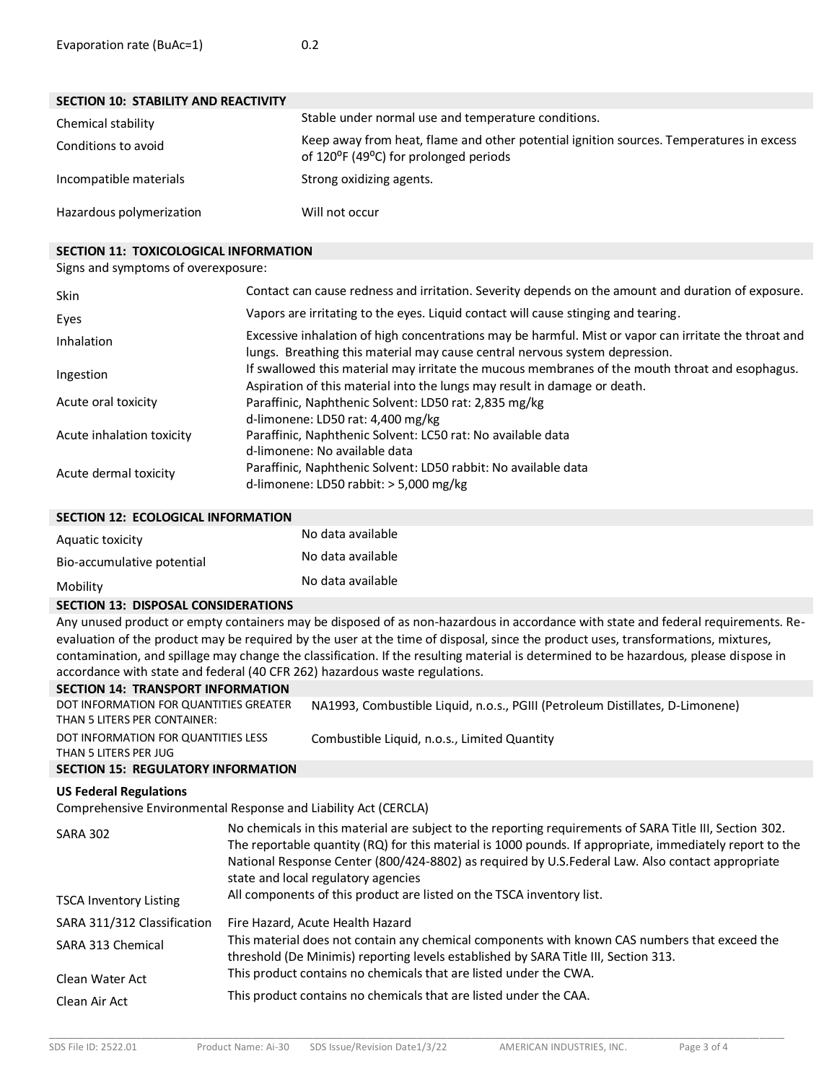| <b>SECTION 10: STABILITY AND REACTIVITY</b> |                                                                                                                                  |
|---------------------------------------------|----------------------------------------------------------------------------------------------------------------------------------|
| Chemical stability                          | Stable under normal use and temperature conditions.                                                                              |
| Conditions to avoid                         | Keep away from heat, flame and other potential ignition sources. Temperatures in excess<br>of 120°F (49°C) for prolonged periods |
| Incompatible materials                      | Strong oxidizing agents.                                                                                                         |
| Hazardous polymerization                    | Will not occur                                                                                                                   |

## **SECTION 11: TOXICOLOGICAL INFORMATION**

#### Signs and symptoms of overexposure:

| <b>Skin</b>               | Contact can cause redness and irritation. Severity depends on the amount and duration of exposure.                                                                                   |
|---------------------------|--------------------------------------------------------------------------------------------------------------------------------------------------------------------------------------|
| Eyes                      | Vapors are irritating to the eyes. Liquid contact will cause stinging and tearing.                                                                                                   |
| Inhalation                | Excessive inhalation of high concentrations may be harmful. Mist or vapor can irritate the throat and<br>lungs. Breathing this material may cause central nervous system depression. |
| Ingestion                 | If swallowed this material may irritate the mucous membranes of the mouth throat and esophagus.<br>Aspiration of this material into the lungs may result in damage or death.         |
| Acute oral toxicity       | Paraffinic, Naphthenic Solvent: LD50 rat: 2,835 mg/kg<br>d-limonene: LD50 rat: 4,400 mg/kg                                                                                           |
| Acute inhalation toxicity | Paraffinic, Naphthenic Solvent: LC50 rat: No available data<br>d-limonene: No available data                                                                                         |
| Acute dermal toxicity     | Paraffinic, Naphthenic Solvent: LD50 rabbit: No available data<br>d-limonene: LD50 rabbit: $>$ 5,000 mg/kg                                                                           |

| SECTION 12: ECOLOGICAL INFORMATION |                   |
|------------------------------------|-------------------|
| Aquatic toxicity                   | No data available |
| Bio-accumulative potential         | No data available |
| Mobility                           | No data available |

#### **SECTION 13: DISPOSAL CONSIDERATIONS**

Any unused product or empty containers may be disposed of as non-hazardous in accordance with state and federal requirements. Reevaluation of the product may be required by the user at the time of disposal, since the product uses, transformations, mixtures, contamination, and spillage may change the classification. If the resulting material is determined to be hazardous, please dispose in accordance with state and federal (40 CFR 262) hazardous waste regulations.

| <b>SECTION 14: TRANSPORT INFORMATION</b>  |                                                                               |
|-------------------------------------------|-------------------------------------------------------------------------------|
| DOT INFORMATION FOR QUANTITIES GREATER    | NA1993, Combustible Liquid, n.o.s., PGIII (Petroleum Distillates, D-Limonene) |
| THAN 5 LITERS PER CONTAINER:              |                                                                               |
| DOT INFORMATION FOR QUANTITIES LESS       | Combustible Liquid, n.o.s., Limited Quantity                                  |
| THAN 5 LITERS PER JUG                     |                                                                               |
| <b>SECTION 15: REGULATORY INFORMATION</b> |                                                                               |
| <b>US Federal Regulations</b>             |                                                                               |

Comprehensive Environmental Response and Liability Act (CERCLA)

| <b>SARA 302</b>               | No chemicals in this material are subject to the reporting requirements of SARA Title III, Section 302.<br>The reportable quantity (RQ) for this material is 1000 pounds. If appropriate, immediately report to the<br>National Response Center (800/424-8802) as required by U.S.Federal Law. Also contact appropriate<br>state and local regulatory agencies |
|-------------------------------|----------------------------------------------------------------------------------------------------------------------------------------------------------------------------------------------------------------------------------------------------------------------------------------------------------------------------------------------------------------|
| <b>TSCA Inventory Listing</b> | All components of this product are listed on the TSCA inventory list.                                                                                                                                                                                                                                                                                          |
| SARA 311/312 Classification   | Fire Hazard, Acute Health Hazard                                                                                                                                                                                                                                                                                                                               |
| SARA 313 Chemical             | This material does not contain any chemical components with known CAS numbers that exceed the<br>threshold (De Minimis) reporting levels established by SARA Title III, Section 313.                                                                                                                                                                           |
| Clean Water Act               | This product contains no chemicals that are listed under the CWA.                                                                                                                                                                                                                                                                                              |
| Clean Air Act                 | This product contains no chemicals that are listed under the CAA.                                                                                                                                                                                                                                                                                              |